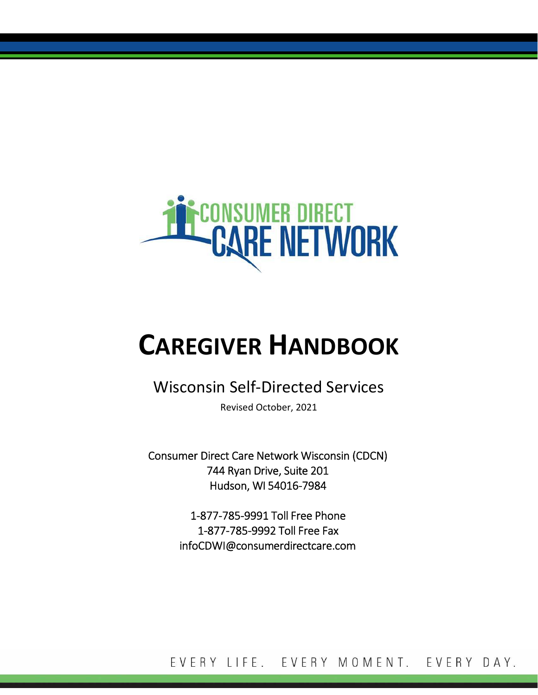

# **CAREGIVER HANDBOOK**

# Wisconsin Self‐Directed Services

Revised October, 2021

Consumer Direct Care Network Wisconsin (CDCN) 744 Ryan Drive, Suite 201 Hudson, WI 54016‐7984

> 1‐877‐785‐9991 Toll Free Phone 1‐877‐785‐9992 Toll Free Fax infoCDWI@consumerdirectcare.com

EVERY LIFE. EVERY MOMENT. EVERY DAY.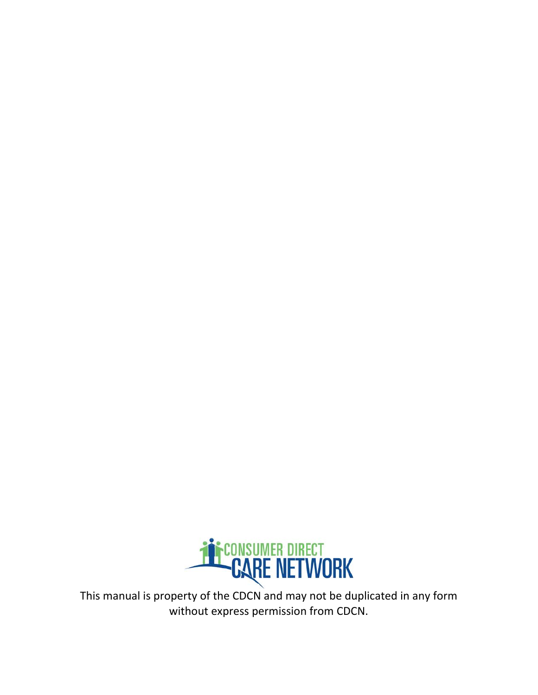

This manual is property of the CDCN and may not be duplicated in any form without express permission from CDCN.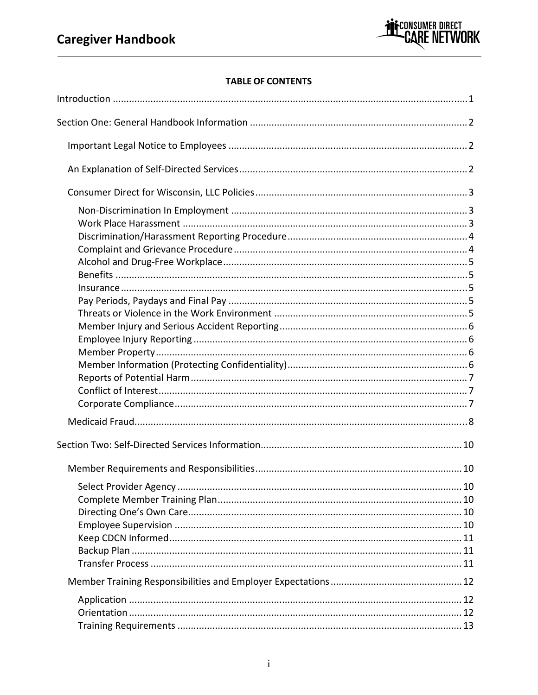

### **TABLE OF CONTENTS**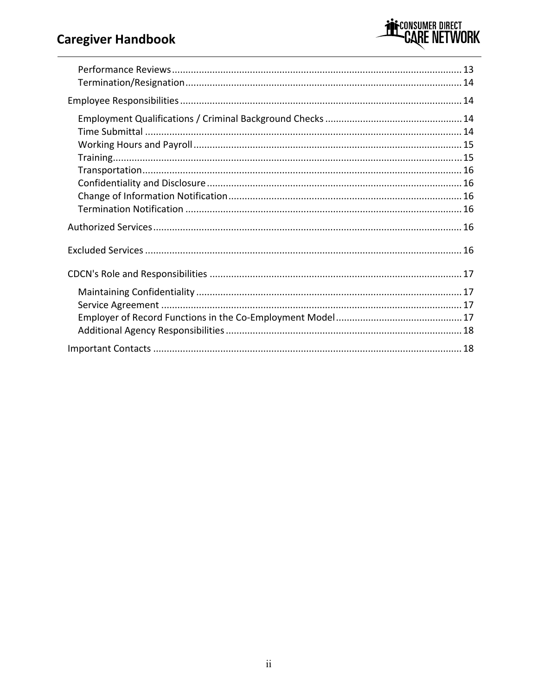## **Caregiver Handbook**

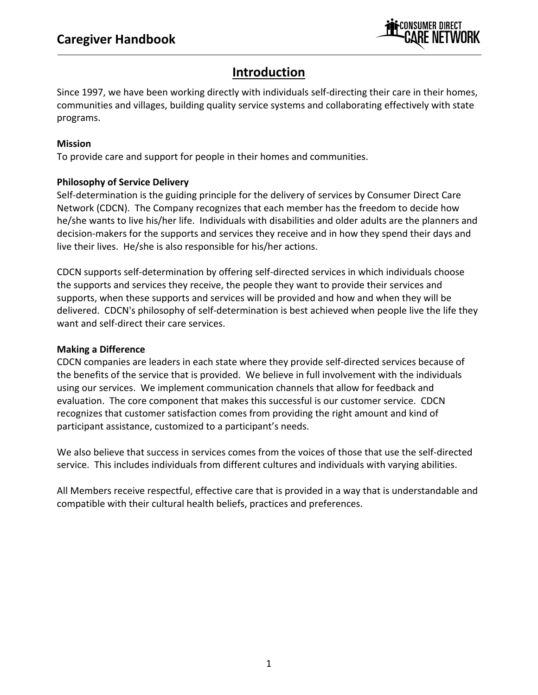

### **Introduction**

Since 1997, we have been working directly with individuals self‐directing their care in their homes, communities and villages, building quality service systems and collaborating effectively with state programs.

### **Mission**

To provide care and support for people in their homes and communities.

### **Philosophy of Service Delivery**

Self-determination is the guiding principle for the delivery of services by Consumer Direct Care Network (CDCN). The Company recognizes that each member has the freedom to decide how he/she wants to live his/her life. Individuals with disabilities and older adults are the planners and decision-makers for the supports and services they receive and in how they spend their days and live their lives. He/she is also responsible for his/her actions.

CDCN supports self‐determination by offering self‐directed services in which individuals choose the supports and services they receive, the people they want to provide their services and supports, when these supports and services will be provided and how and when they will be delivered. CDCN's philosophy of self‐determination is best achieved when people live the life they want and self-direct their care services.

### **Making a Difference**

CDCN companies are leaders in each state where they provide self‐directed services because of the benefits of the service that is provided. We believe in full involvement with the individuals using our services. We implement communication channels that allow for feedback and evaluation. The core component that makes this successful is our customer service. CDCN recognizes that customer satisfaction comes from providing the right amount and kind of participant assistance, customized to a participant's needs.

We also believe that success in services comes from the voices of those that use the self-directed service. This includes individuals from different cultures and individuals with varying abilities.

All Members receive respectful, effective care that is provided in a way that is understandable and compatible with their cultural health beliefs, practices and preferences.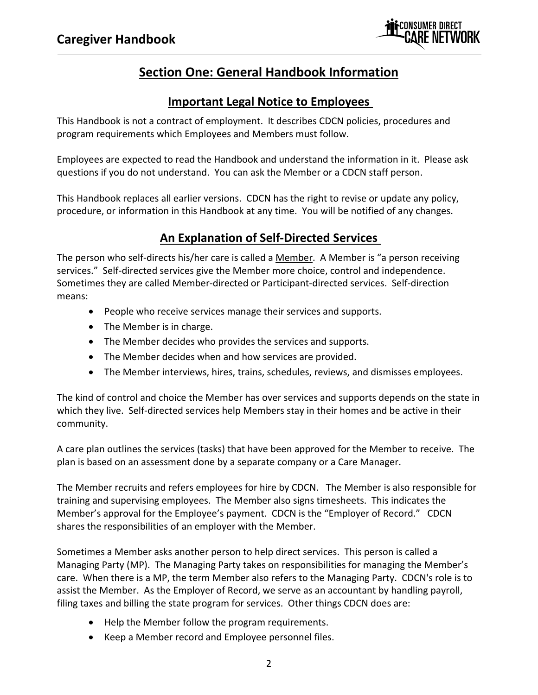

### **Section One: General Handbook Information**

### **Important Legal Notice to Employees**

This Handbook is not a contract of employment. It describes CDCN policies, procedures and program requirements which Employees and Members must follow.

Employees are expected to read the Handbook and understand the information in it. Please ask questions if you do not understand. You can ask the Member or a CDCN staff person.

This Handbook replaces all earlier versions. CDCN has the right to revise or update any policy, procedure, or information in this Handbook at any time. You will be notified of any changes.

### **An Explanation of Self‐Directed Services**

The person who self‐directs his/her care is called a Member. A Member is "a person receiving services." Self-directed services give the Member more choice, control and independence. Sometimes they are called Member‐directed or Participant‐directed services. Self‐direction means:

- People who receive services manage their services and supports.
- The Member is in charge.
- The Member decides who provides the services and supports.
- The Member decides when and how services are provided.
- The Member interviews, hires, trains, schedules, reviews, and dismisses employees.

The kind of control and choice the Member has over services and supports depends on the state in which they live. Self-directed services help Members stay in their homes and be active in their community.

A care plan outlines the services (tasks) that have been approved for the Member to receive. The plan is based on an assessment done by a separate company or a Care Manager.

The Member recruits and refers employees for hire by CDCN. The Member is also responsible for training and supervising employees. The Member also signs timesheets. This indicates the Member's approval for the Employee's payment. CDCN is the "Employer of Record." CDCN shares the responsibilities of an employer with the Member.

Sometimes a Member asks another person to help direct services. This person is called a Managing Party (MP). The Managing Party takes on responsibilities for managing the Member's care. When there is a MP, the term Member also refers to the Managing Party. CDCN's role is to assist the Member. As the Employer of Record, we serve as an accountant by handling payroll, filing taxes and billing the state program for services. Other things CDCN does are:

- Help the Member follow the program requirements.
- Keep a Member record and Employee personnel files.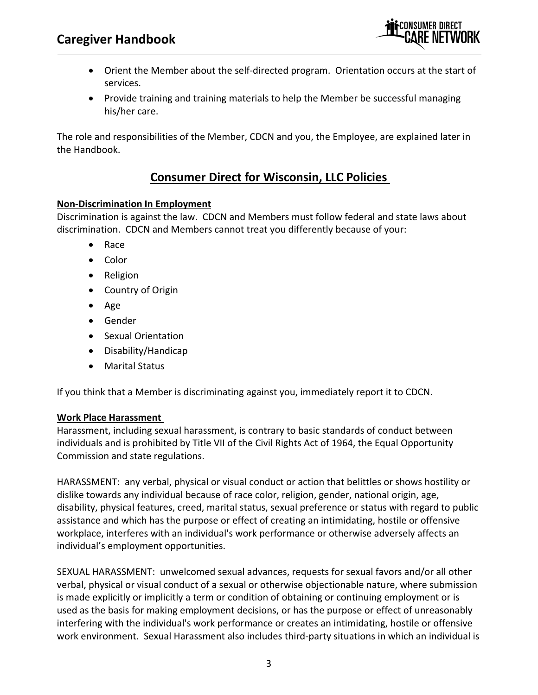### **Caregiver Handbook**



- Orient the Member about the self-directed program. Orientation occurs at the start of services.
- Provide training and training materials to help the Member be successful managing his/her care.

The role and responsibilities of the Member, CDCN and you, the Employee, are explained later in the Handbook.

### **Consumer Direct for Wisconsin, LLC Policies**

#### **Non‐Discrimination In Employment**

Discrimination is against the law. CDCN and Members must follow federal and state laws about discrimination. CDCN and Members cannot treat you differently because of your:

- Race
- Color
- Religion
- Country of Origin
- $\bullet$  Age
- **•** Gender
- Sexual Orientation
- Disability/Handicap
- Marital Status

If you think that a Member is discriminating against you, immediately report it to CDCN.

#### **Work Place Harassment**

Harassment, including sexual harassment, is contrary to basic standards of conduct between individuals and is prohibited by Title VII of the Civil Rights Act of 1964, the Equal Opportunity Commission and state regulations.

HARASSMENT: any verbal, physical or visual conduct or action that belittles or shows hostility or dislike towards any individual because of race color, religion, gender, national origin, age, disability, physical features, creed, marital status, sexual preference or status with regard to public assistance and which has the purpose or effect of creating an intimidating, hostile or offensive workplace, interferes with an individual's work performance or otherwise adversely affects an individual's employment opportunities.

SEXUAL HARASSMENT: unwelcomed sexual advances, requests for sexual favors and/or all other verbal, physical or visual conduct of a sexual or otherwise objectionable nature, where submission is made explicitly or implicitly a term or condition of obtaining or continuing employment or is used as the basis for making employment decisions, or has the purpose or effect of unreasonably interfering with the individual's work performance or creates an intimidating, hostile or offensive work environment. Sexual Harassment also includes third‐party situations in which an individual is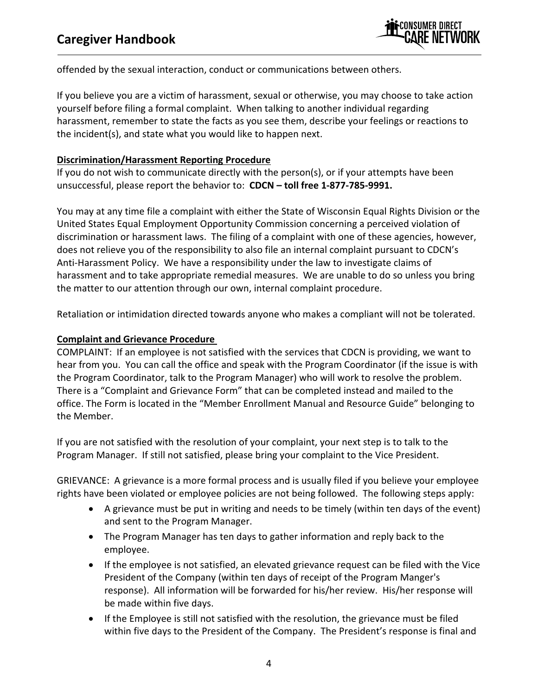

offended by the sexual interaction, conduct or communications between others.

If you believe you are a victim of harassment, sexual or otherwise, you may choose to take action yourself before filing a formal complaint. When talking to another individual regarding harassment, remember to state the facts as you see them, describe your feelings or reactions to the incident(s), and state what you would like to happen next.

#### **Discrimination/Harassment Reporting Procedure**

If you do not wish to communicate directly with the person(s), or if your attempts have been unsuccessful, please report the behavior to: **CDCN – toll free 1‐877‐785‐9991.**

You may at any time file a complaint with either the State of Wisconsin Equal Rights Division or the United States Equal Employment Opportunity Commission concerning a perceived violation of discrimination or harassment laws. The filing of a complaint with one of these agencies, however, does not relieve you of the responsibility to also file an internal complaint pursuant to CDCN's Anti-Harassment Policy. We have a responsibility under the law to investigate claims of harassment and to take appropriate remedial measures. We are unable to do so unless you bring the matter to our attention through our own, internal complaint procedure.

Retaliation or intimidation directed towards anyone who makes a compliant will not be tolerated.

### **Complaint and Grievance Procedure**

COMPLAINT: If an employee is not satisfied with the services that CDCN is providing, we want to hear from you. You can call the office and speak with the Program Coordinator (if the issue is with the Program Coordinator, talk to the Program Manager) who will work to resolve the problem. There is a "Complaint and Grievance Form" that can be completed instead and mailed to the office. The Form is located in the "Member Enrollment Manual and Resource Guide" belonging to the Member.

If you are not satisfied with the resolution of your complaint, your next step is to talk to the Program Manager. If still not satisfied, please bring your complaint to the Vice President.

GRIEVANCE: A grievance is a more formal process and is usually filed if you believe your employee rights have been violated or employee policies are not being followed. The following steps apply:

- A grievance must be put in writing and needs to be timely (within ten days of the event) and sent to the Program Manager.
- The Program Manager has ten days to gather information and reply back to the employee.
- If the employee is not satisfied, an elevated grievance request can be filed with the Vice President of the Company (within ten days of receipt of the Program Manger's response). All information will be forwarded for his/her review. His/her response will be made within five days.
- If the Employee is still not satisfied with the resolution, the grievance must be filed within five days to the President of the Company. The President's response is final and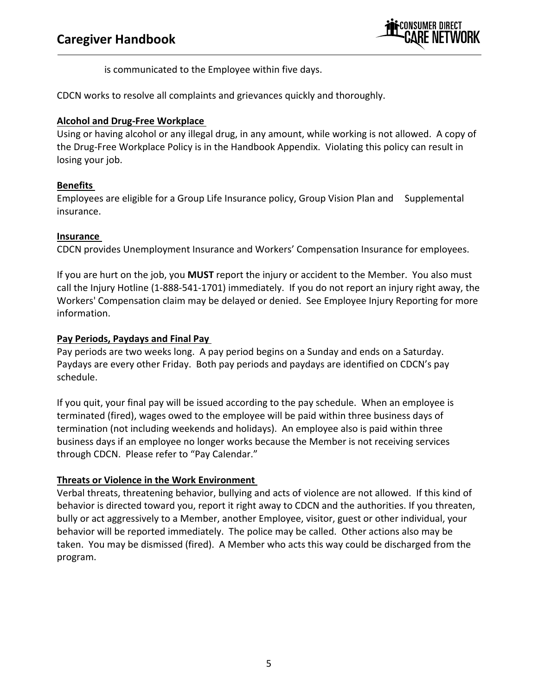

is communicated to the Employee within five days.

CDCN works to resolve all complaints and grievances quickly and thoroughly.

### **Alcohol and Drug‐Free Workplace**

Using or having alcohol or any illegal drug, in any amount, while working is not allowed. A copy of the Drug‐Free Workplace Policy is in the Handbook Appendix. Violating this policy can result in losing your job.

### **Benefits**

Employees are eligible for a Group Life Insurance policy, Group Vision Plan and Supplemental insurance.

### **Insurance**

CDCN provides Unemployment Insurance and Workers' Compensation Insurance for employees.

If you are hurt on the job, you **MUST** report the injury or accident to the Member. You also must call the Injury Hotline (1‐888‐541‐1701) immediately. If you do not report an injury right away, the Workers' Compensation claim may be delayed or denied. See Employee Injury Reporting for more information.

### **Pay Periods, Paydays and Final Pay**

Pay periods are two weeks long. A pay period begins on a Sunday and ends on a Saturday. Paydays are every other Friday. Both pay periods and paydays are identified on CDCN's pay schedule.

If you quit, your final pay will be issued according to the pay schedule. When an employee is terminated (fired), wages owed to the employee will be paid within three business days of termination (not including weekends and holidays). An employee also is paid within three business days if an employee no longer works because the Member is not receiving services through CDCN. Please refer to "Pay Calendar."

### **Threats or Violence in the Work Environment**

Verbal threats, threatening behavior, bullying and acts of violence are not allowed. If this kind of behavior is directed toward you, report it right away to CDCN and the authorities. If you threaten, bully or act aggressively to a Member, another Employee, visitor, guest or other individual, your behavior will be reported immediately. The police may be called. Other actions also may be taken. You may be dismissed (fired). A Member who acts this way could be discharged from the program.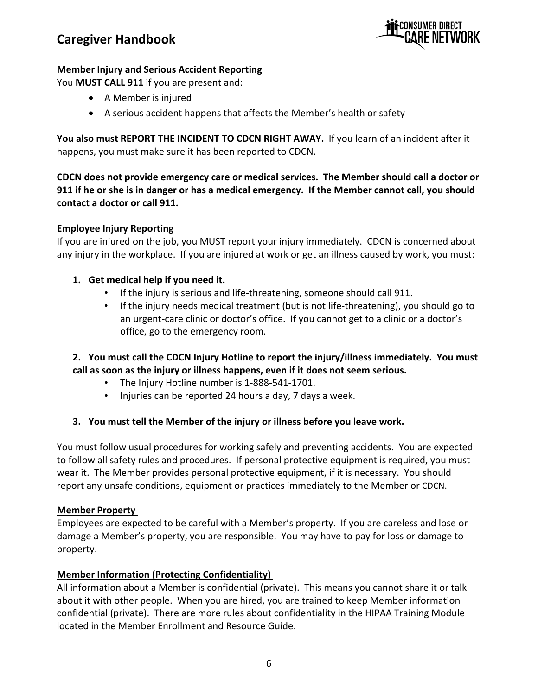

#### **Member Injury and Serious Accident Reporting**

You **MUST CALL 911** if you are present and:

- A Member is injured
- A serious accident happens that affects the Member's health or safety

**You also must REPORT THE INCIDENT TO CDCN RIGHT AWAY.** If you learn of an incident after it happens, you must make sure it has been reported to CDCN.

**CDCN does not provide emergency care or medical services. The Member should call a doctor or** 911 if he or she is in danger or has a medical emergency. If the Member cannot call, you should **contact a doctor or call 911.** 

#### **Employee Injury Reporting**

If you are injured on the job, you MUST report your injury immediately. CDCN is concerned about any injury in the workplace. If you are injured at work or get an illness caused by work, you must:

### **1. Get medical help if you need it.**

- If the injury is serious and life-threatening, someone should call 911.
- If the injury needs medical treatment (but is not life‐threatening), you should go to an urgent-care clinic or doctor's office. If you cannot get to a clinic or a doctor's office, go to the emergency room.

### **2. You must call the CDCN Injury Hotline to report the injury/illness immediately. You must call as soon as the injury or illness happens, even if it does not seem serious.**

- The Injury Hotline number is 1-888-541-1701.
- Injuries can be reported 24 hours a day, 7 days a week.

### **3. You must tell the Member of the injury or illness before you leave work.**

You must follow usual procedures for working safely and preventing accidents. You are expected to follow all safety rules and procedures. If personal protective equipment is required, you must wear it. The Member provides personal protective equipment, if it is necessary. You should report any unsafe conditions, equipment or practices immediately to the Member or CDCN.

#### **Member Property**

Employees are expected to be careful with a Member's property. If you are careless and lose or damage a Member's property, you are responsible. You may have to pay for loss or damage to property.

#### **Member Information (Protecting Confidentiality)**

All information about a Member is confidential (private). This means you cannot share it or talk about it with other people. When you are hired, you are trained to keep Member information confidential (private). There are more rules about confidentiality in the HIPAA Training Module located in the Member Enrollment and Resource Guide.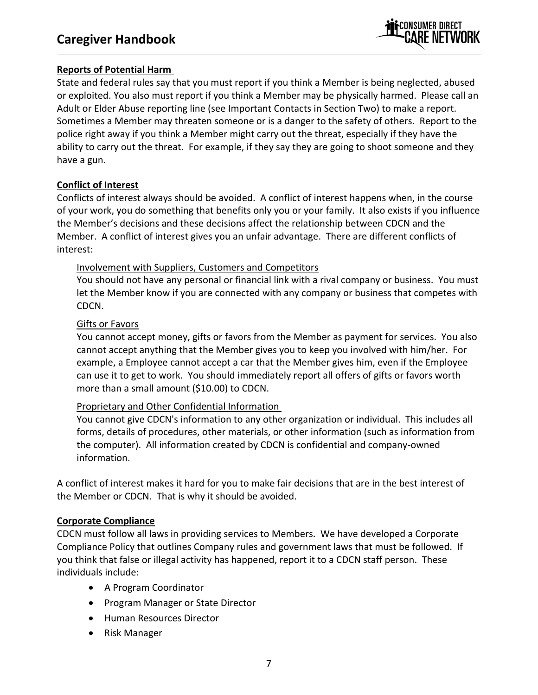

### **Reports of Potential Harm**

State and federal rules say that you must report if you think a Member is being neglected, abused or exploited. You also must report if you think a Member may be physically harmed. Please call an Adult or Elder Abuse reporting line (see Important Contacts in Section Two) to make a report. Sometimes a Member may threaten someone or is a danger to the safety of others. Report to the police right away if you think a Member might carry out the threat, especially if they have the ability to carry out the threat. For example, if they say they are going to shoot someone and they have a gun.

### **Conflict of Interest**

Conflicts of interest always should be avoided. A conflict of interest happens when, in the course of your work, you do something that benefits only you or your family. It also exists if you influence the Member's decisions and these decisions affect the relationship between CDCN and the Member. A conflict of interest gives you an unfair advantage. There are different conflicts of interest:

### Involvement with Suppliers, Customers and Competitors

You should not have any personal or financial link with a rival company or business. You must let the Member know if you are connected with any company or business that competes with CDCN.

### Gifts or Favors

You cannot accept money, gifts or favors from the Member as payment for services. You also cannot accept anything that the Member gives you to keep you involved with him/her. For example, a Employee cannot accept a car that the Member gives him, even if the Employee can use it to get to work. You should immediately report all offers of gifts or favors worth more than a small amount (\$10.00) to CDCN.

### Proprietary and Other Confidential Information

You cannot give CDCN's information to any other organization or individual. This includes all forms, details of procedures, other materials, or other information (such as information from the computer). All information created by CDCN is confidential and company‐owned information.

A conflict of interest makes it hard for you to make fair decisions that are in the best interest of the Member or CDCN. That is why it should be avoided.

### **Corporate Compliance**

CDCN must follow all laws in providing services to Members. We have developed a Corporate Compliance Policy that outlines Company rules and government laws that must be followed. If you think that false or illegal activity has happened, report it to a CDCN staff person. These individuals include:

- A Program Coordinator
- Program Manager or State Director
- Human Resources Director
- Risk Manager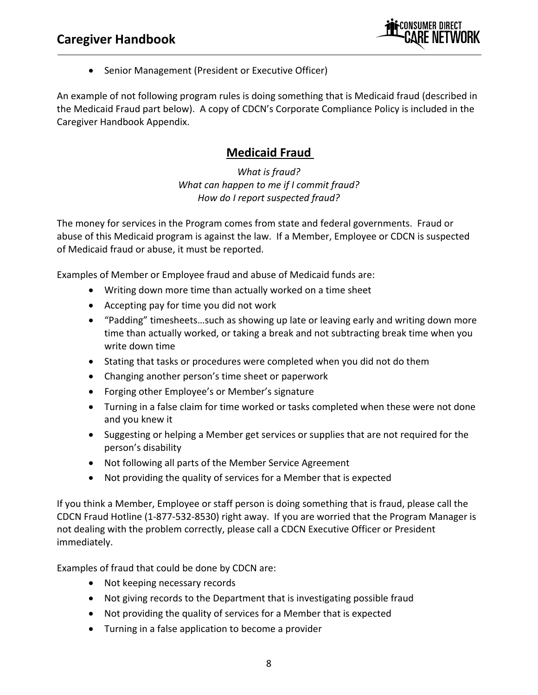

• Senior Management (President or Executive Officer)

An example of not following program rules is doing something that is Medicaid fraud (described in the Medicaid Fraud part below). A copy of CDCN's Corporate Compliance Policy is included in the Caregiver Handbook Appendix.

### **Medicaid Fraud**

*What is fraud? What can happen to me if I commit fraud? How do I report suspected fraud?*

The money for services in the Program comes from state and federal governments. Fraud or abuse of this Medicaid program is against the law. If a Member, Employee or CDCN is suspected of Medicaid fraud or abuse, it must be reported.

Examples of Member or Employee fraud and abuse of Medicaid funds are:

- Writing down more time than actually worked on a time sheet
- Accepting pay for time you did not work
- "Padding" timesheets…such as showing up late or leaving early and writing down more time than actually worked, or taking a break and not subtracting break time when you write down time
- Stating that tasks or procedures were completed when you did not do them
- Changing another person's time sheet or paperwork
- Forging other Employee's or Member's signature
- Turning in a false claim for time worked or tasks completed when these were not done and you knew it
- Suggesting or helping a Member get services or supplies that are not required for the person's disability
- Not following all parts of the Member Service Agreement
- Not providing the quality of services for a Member that is expected

If you think a Member, Employee or staff person is doing something that is fraud, please call the CDCN Fraud Hotline (1‐877‐532‐8530) right away. If you are worried that the Program Manager is not dealing with the problem correctly, please call a CDCN Executive Officer or President immediately.

Examples of fraud that could be done by CDCN are:

- Not keeping necessary records
- Not giving records to the Department that is investigating possible fraud
- Not providing the quality of services for a Member that is expected
- Turning in a false application to become a provider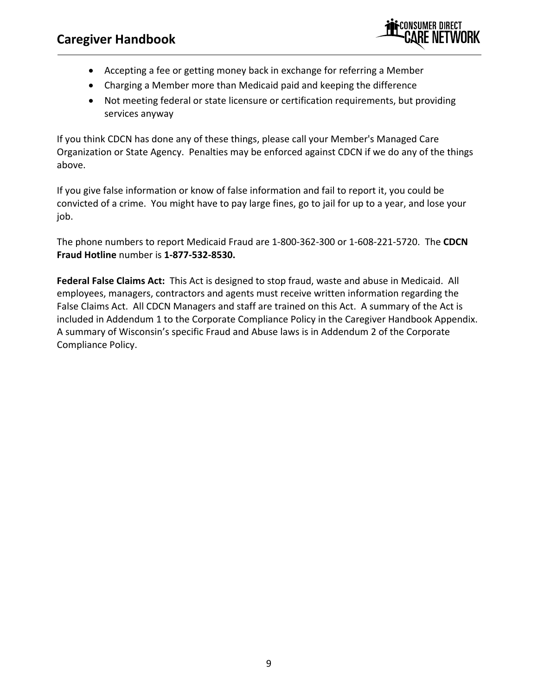

- Accepting a fee or getting money back in exchange for referring a Member
- Charging a Member more than Medicaid paid and keeping the difference
- Not meeting federal or state licensure or certification requirements, but providing services anyway

If you think CDCN has done any of these things, please call your Member's Managed Care Organization or State Agency. Penalties may be enforced against CDCN if we do any of the things above.

If you give false information or know of false information and fail to report it, you could be convicted of a crime. You might have to pay large fines, go to jail for up to a year, and lose your job.

The phone numbers to report Medicaid Fraud are 1‐800‐362‐300 or 1‐608‐221‐5720. The **CDCN Fraud Hotline** number is **1‐877‐532‐8530.**

**Federal False Claims Act:** This Act is designed to stop fraud, waste and abuse in Medicaid. All employees, managers, contractors and agents must receive written information regarding the False Claims Act. All CDCN Managers and staff are trained on this Act. A summary of the Act is included in Addendum 1 to the Corporate Compliance Policy in the Caregiver Handbook Appendix. A summary of Wisconsin's specific Fraud and Abuse laws is in Addendum 2 of the Corporate Compliance Policy.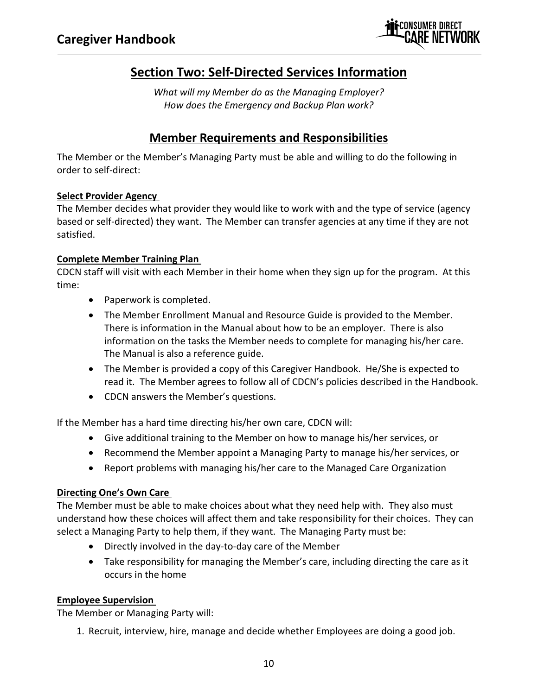

### **Section Two: Self‐Directed Services Information**

*What will my Member do as the Managing Employer? How does the Emergency and Backup Plan work?* 

### **Member Requirements and Responsibilities**

The Member or the Member's Managing Party must be able and willing to do the following in order to self‐direct:

### **Select Provider Agency**

The Member decides what provider they would like to work with and the type of service (agency based or self-directed) they want. The Member can transfer agencies at any time if they are not satisfied.

### **Complete Member Training Plan**

CDCN staff will visit with each Member in their home when they sign up for the program. At this time:

- Paperwork is completed.
- The Member Enrollment Manual and Resource Guide is provided to the Member. There is information in the Manual about how to be an employer. There is also information on the tasks the Member needs to complete for managing his/her care. The Manual is also a reference guide.
- The Member is provided a copy of this Caregiver Handbook. He/She is expected to read it. The Member agrees to follow all of CDCN's policies described in the Handbook.
- CDCN answers the Member's questions.

If the Member has a hard time directing his/her own care, CDCN will:

- Give additional training to the Member on how to manage his/her services, or
- Recommend the Member appoint a Managing Party to manage his/her services, or
- Report problems with managing his/her care to the Managed Care Organization

### **Directing One's Own Care**

The Member must be able to make choices about what they need help with. They also must understand how these choices will affect them and take responsibility for their choices. They can select a Managing Party to help them, if they want. The Managing Party must be:

- Directly involved in the day‐to‐day care of the Member
- Take responsibility for managing the Member's care, including directing the care as it occurs in the home

### **Employee Supervision**

The Member or Managing Party will:

1. Recruit, interview, hire, manage and decide whether Employees are doing a good job.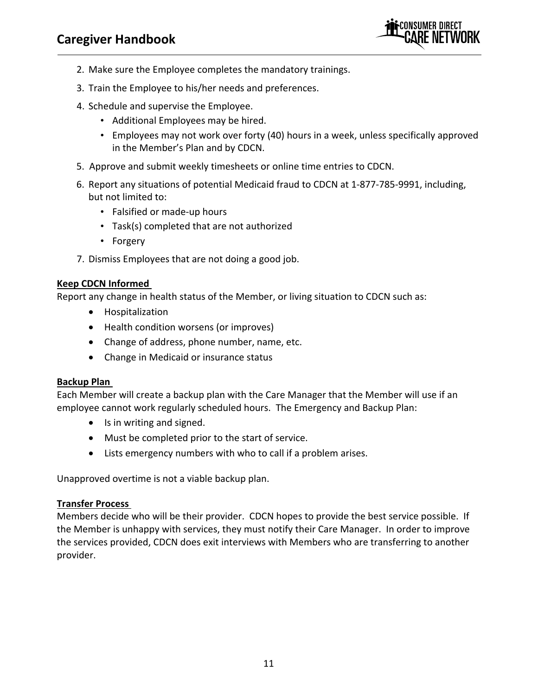

- 2. Make sure the Employee completes the mandatory trainings.
- 3. Train the Employee to his/her needs and preferences.
- 4. Schedule and supervise the Employee.
	- Additional Employees may be hired.
	- Employees may not work over forty (40) hours in a week, unless specifically approved in the Member's Plan and by CDCN.
- 5. Approve and submit weekly timesheets or online time entries to CDCN.
- 6. Report any situations of potential Medicaid fraud to CDCN at 1‐877‐785‐9991, including, but not limited to:
	- Falsified or made‐up hours
	- Task(s) completed that are not authorized
	- Forgery
- 7. Dismiss Employees that are not doing a good job.

#### **Keep CDCN Informed**

Report any change in health status of the Member, or living situation to CDCN such as:

- Hospitalization
- Health condition worsens (or improves)
- Change of address, phone number, name, etc.
- Change in Medicaid or insurance status

#### **Backup Plan**

Each Member will create a backup plan with the Care Manager that the Member will use if an employee cannot work regularly scheduled hours. The Emergency and Backup Plan:

- Is in writing and signed.
- Must be completed prior to the start of service.
- Lists emergency numbers with who to call if a problem arises.

Unapproved overtime is not a viable backup plan.

#### **Transfer Process**

Members decide who will be their provider. CDCN hopes to provide the best service possible. If the Member is unhappy with services, they must notify their Care Manager. In order to improve the services provided, CDCN does exit interviews with Members who are transferring to another provider.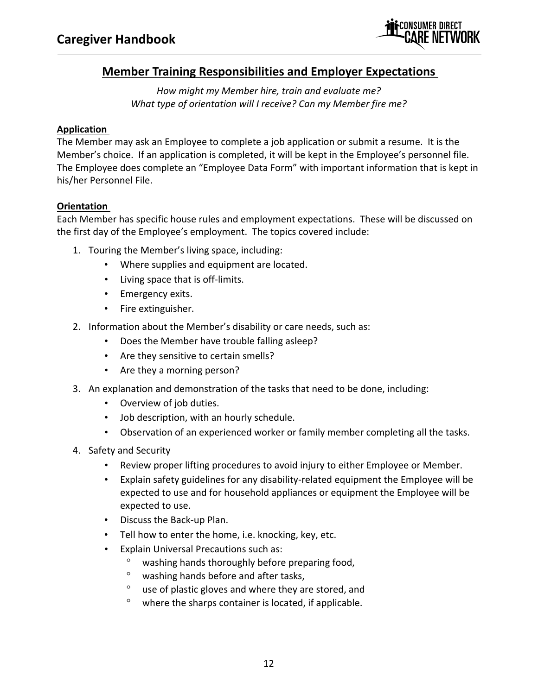

### **Member Training Responsibilities and Employer Expectations**

*How might my Member hire, train and evaluate me? What type of orientation will I receive? Can my Member fire me?*

### **Application**

The Member may ask an Employee to complete a job application or submit a resume. It is the Member's choice. If an application is completed, it will be kept in the Employee's personnel file. The Employee does complete an "Employee Data Form" with important information that is kept in his/her Personnel File.

### **Orientation**

Each Member has specific house rules and employment expectations. These will be discussed on the first day of the Employee's employment. The topics covered include:

- 1. Touring the Member's living space, including:
	- Where supplies and equipment are located.
	- Living space that is off-limits.
	- Emergency exits.
	- Fire extinguisher.
- 2. Information about the Member's disability or care needs, such as:
	- Does the Member have trouble falling asleep?
	- Are they sensitive to certain smells?
	- Are they a morning person?
- 3. An explanation and demonstration of the tasks that need to be done, including:
	- Overview of job duties.
	- Job description, with an hourly schedule.
	- Observation of an experienced worker or family member completing all the tasks.
- 4. Safety and Security
	- Review proper lifting procedures to avoid injury to either Employee or Member.
	- Explain safety guidelines for any disability-related equipment the Employee will be expected to use and for household appliances or equipment the Employee will be expected to use.
	- Discuss the Back‐up Plan.
	- Tell how to enter the home, i.e. knocking, key, etc.
	- Explain Universal Precautions such as:
		- washing hands thoroughly before preparing food,
		- washing hands before and after tasks,
		- $\degree$  use of plastic gloves and where they are stored, and
		- $\degree$  where the sharps container is located, if applicable.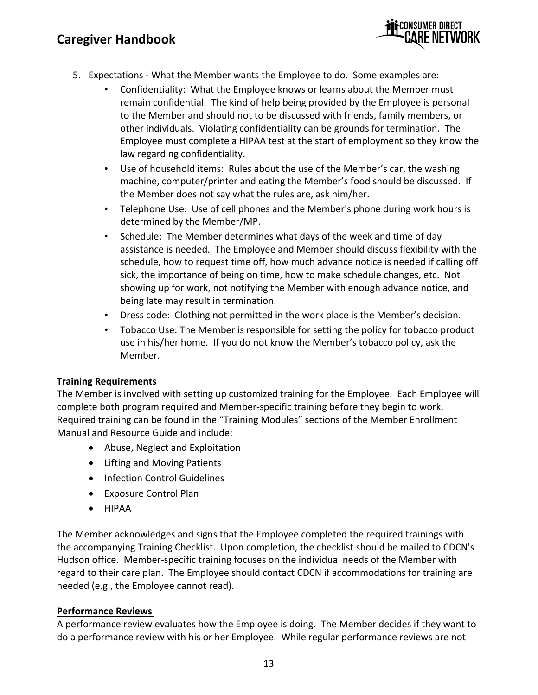

- 5. Expectations ‐ What the Member wants the Employee to do. Some examples are:
	- Confidentiality: What the Employee knows or learns about the Member must remain confidential. The kind of help being provided by the Employee is personal to the Member and should not to be discussed with friends, family members, or other individuals. Violating confidentiality can be grounds for termination. The Employee must complete a HIPAA test at the start of employment so they know the law regarding confidentiality.
	- Use of household items: Rules about the use of the Member's car, the washing machine, computer/printer and eating the Member's food should be discussed. If the Member does not say what the rules are, ask him/her.
	- Telephone Use: Use of cell phones and the Member's phone during work hours is determined by the Member/MP.
	- Schedule: The Member determines what days of the week and time of day assistance is needed. The Employee and Member should discuss flexibility with the schedule, how to request time off, how much advance notice is needed if calling off sick, the importance of being on time, how to make schedule changes, etc. Not showing up for work, not notifying the Member with enough advance notice, and being late may result in termination.
	- Dress code: Clothing not permitted in the work place is the Member's decision.
	- Tobacco Use: The Member is responsible for setting the policy for tobacco product use in his/her home. If you do not know the Member's tobacco policy, ask the Member.

### **Training Requirements**

The Member is involved with setting up customized training for the Employee. Each Employee will complete both program required and Member‐specific training before they begin to work. Required training can be found in the "Training Modules" sections of the Member Enrollment Manual and Resource Guide and include:

- Abuse, Neglect and Exploitation
- Lifting and Moving Patients
- Infection Control Guidelines
- Exposure Control Plan
- HIPAA

The Member acknowledges and signs that the Employee completed the required trainings with the accompanying Training Checklist. Upon completion, the checklist should be mailed to CDCN's Hudson office. Member‐specific training focuses on the individual needs of the Member with regard to their care plan. The Employee should contact CDCN if accommodations for training are needed (e.g., the Employee cannot read).

### **Performance Reviews**

A performance review evaluates how the Employee is doing. The Member decides if they want to do a performance review with his or her Employee. While regular performance reviews are not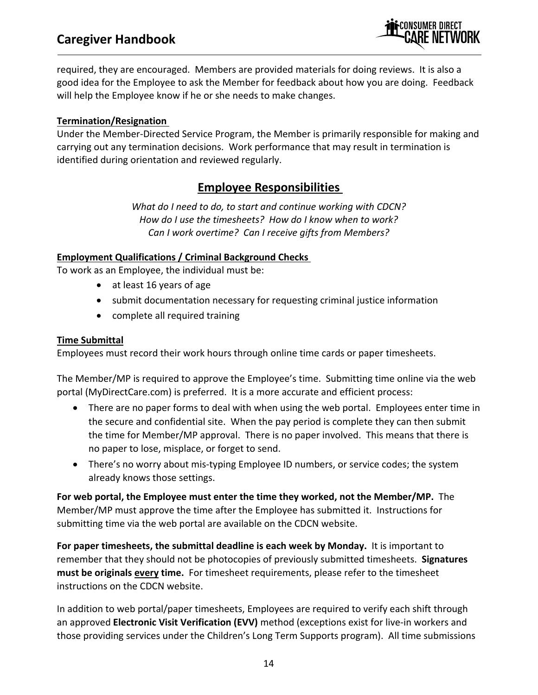### **Caregiver Handbook**



required, they are encouraged. Members are provided materials for doing reviews. It is also a good idea for the Employee to ask the Member for feedback about how you are doing. Feedback will help the Employee know if he or she needs to make changes.

#### **Termination/Resignation**

Under the Member‐Directed Service Program, the Member is primarily responsible for making and carrying out any termination decisions. Work performance that may result in termination is identified during orientation and reviewed regularly.

### **Employee Responsibilities**

*What do I need to do, to start and continue working with CDCN? How do I use the timesheets? How do I know when to work? Can I work overtime? Can I receive gifts from Members?* 

### **Employment Qualifications / Criminal Background Checks**

To work as an Employee, the individual must be:

- at least 16 years of age
- submit documentation necessary for requesting criminal justice information
- complete all required training

#### **Time Submittal**

Employees must record their work hours through online time cards or paper timesheets.

The Member/MP is required to approve the Employee's time. Submitting time online via the web portal (MyDirectCare.com) is preferred. It is a more accurate and efficient process:

- There are no paper forms to deal with when using the web portal. Employees enter time in the secure and confidential site. When the pay period is complete they can then submit the time for Member/MP approval. There is no paper involved. This means that there is no paper to lose, misplace, or forget to send.
- There's no worry about mis-typing Employee ID numbers, or service codes; the system already knows those settings.

**For web portal, the Employee must enter the time they worked, not the Member/MP.** The Member/MP must approve the time after the Employee has submitted it. Instructions for submitting time via the web portal are available on the CDCN website.

**For paper timesheets, the submittal deadline is each week by Monday.** It is important to remember that they should not be photocopies of previously submitted timesheets. **Signatures must be originals every time.** For timesheet requirements, please refer to the timesheet instructions on the CDCN website.

In addition to web portal/paper timesheets, Employees are required to verify each shift through an approved **Electronic Visit Verification (EVV)** method (exceptions exist for live‐in workers and those providing services under the Children's Long Term Supports program). All time submissions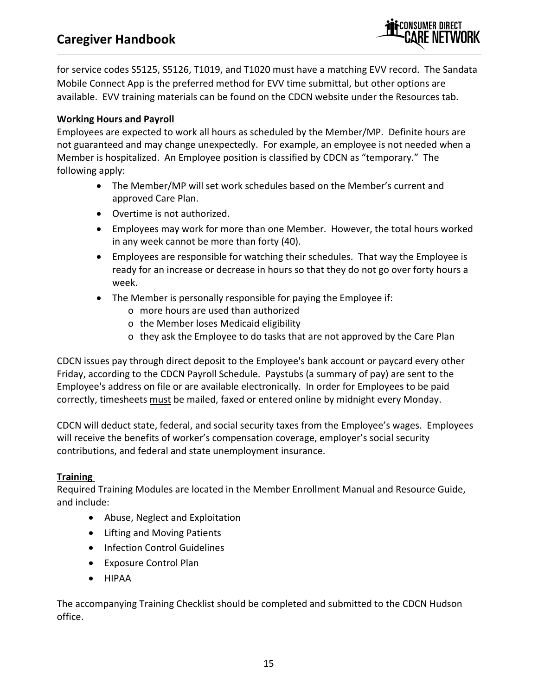

for service codes S5125, S5126, T1019, and T1020 must have a matching EVV record. The Sandata Mobile Connect App is the preferred method for EVV time submittal, but other options are available. EVV training materials can be found on the CDCN website under the Resources tab.

### **Working Hours and Payroll**

Employees are expected to work all hours as scheduled by the Member/MP. Definite hours are not guaranteed and may change unexpectedly. For example, an employee is not needed when a Member is hospitalized. An Employee position is classified by CDCN as "temporary." The following apply:

- The Member/MP will set work schedules based on the Member's current and approved Care Plan.
- Overtime is not authorized.
- Employees may work for more than one Member. However, the total hours worked in any week cannot be more than forty (40).
- Employees are responsible for watching their schedules. That way the Employee is ready for an increase or decrease in hours so that they do not go over forty hours a week.
- The Member is personally responsible for paying the Employee if:
	- o more hours are used than authorized
	- o the Member loses Medicaid eligibility
	- o they ask the Employee to do tasks that are not approved by the Care Plan

CDCN issues pay through direct deposit to the Employee's bank account or paycard every other Friday, according to the CDCN Payroll Schedule. Paystubs (a summary of pay) are sent to the Employee's address on file or are available electronically. In order for Employees to be paid correctly, timesheets must be mailed, faxed or entered online by midnight every Monday.

CDCN will deduct state, federal, and social security taxes from the Employee's wages. Employees will receive the benefits of worker's compensation coverage, employer's social security contributions, and federal and state unemployment insurance.

### **Training**

Required Training Modules are located in the Member Enrollment Manual and Resource Guide, and include:

- Abuse, Neglect and Exploitation
- Lifting and Moving Patients
- Infection Control Guidelines
- Exposure Control Plan
- HIPAA

The accompanying Training Checklist should be completed and submitted to the CDCN Hudson office.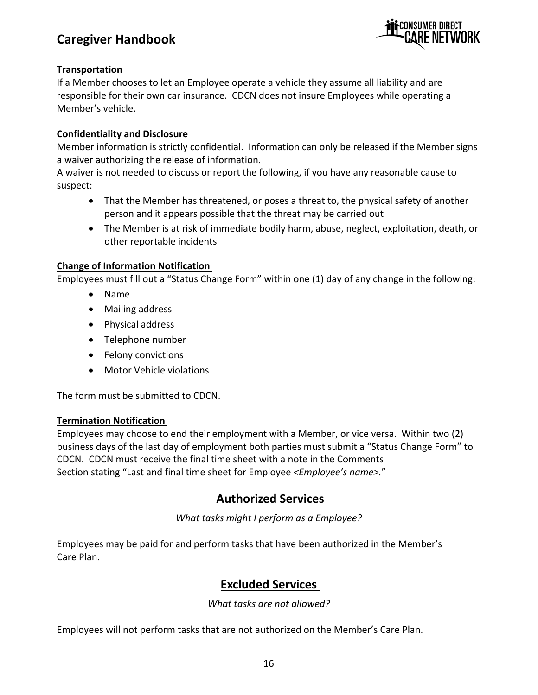

### **Transportation**

If a Member chooses to let an Employee operate a vehicle they assume all liability and are responsible for their own car insurance. CDCN does not insure Employees while operating a Member's vehicle.

#### **Confidentiality and Disclosure**

Member information is strictly confidential. Information can only be released if the Member signs a waiver authorizing the release of information.

A waiver is not needed to discuss or report the following, if you have any reasonable cause to suspect:

- That the Member has threatened, or poses a threat to, the physical safety of another person and it appears possible that the threat may be carried out
- The Member is at risk of immediate bodily harm, abuse, neglect, exploitation, death, or other reportable incidents

#### **Change of Information Notification**

Employees must fill out a "Status Change Form" within one (1) day of any change in the following:

- Name
- Mailing address
- Physical address
- Telephone number
- Felony convictions
- Motor Vehicle violations

The form must be submitted to CDCN.

#### **Termination Notification**

Employees may choose to end their employment with a Member, or vice versa. Within two (2) business days of the last day of employment both parties must submit a "Status Change Form" to CDCN. CDCN must receive the final time sheet with a note in the Comments Section stating "Last and final time sheet for Employee *<Employee's name>.*"

### **Authorized Services**

*What tasks might I perform as a Employee?*

Employees may be paid for and perform tasks that have been authorized in the Member's Care Plan.

### **Excluded Services**

*What tasks are not allowed?*

Employees will not perform tasks that are not authorized on the Member's Care Plan.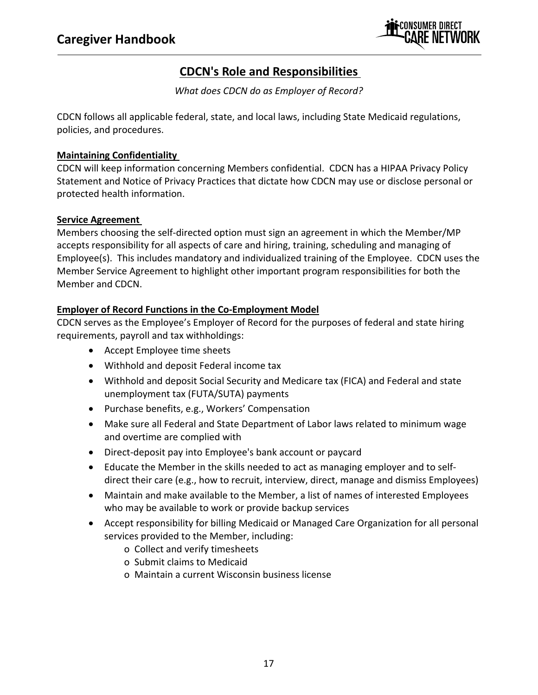

### **CDCN's Role and Responsibilities**

*What does CDCN do as Employer of Record?*

CDCN follows all applicable federal, state, and local laws, including State Medicaid regulations, policies, and procedures.

### **Maintaining Confidentiality**

CDCN will keep information concerning Members confidential. CDCN has a HIPAA Privacy Policy Statement and Notice of Privacy Practices that dictate how CDCN may use or disclose personal or protected health information.

### **Service Agreement**

Members choosing the self‐directed option must sign an agreement in which the Member/MP accepts responsibility for all aspects of care and hiring, training, scheduling and managing of Employee(s). This includes mandatory and individualized training of the Employee. CDCN uses the Member Service Agreement to highlight other important program responsibilities for both the Member and CDCN.

#### **Employer of Record Functions in the Co‐Employment Model**

CDCN serves as the Employee's Employer of Record for the purposes of federal and state hiring requirements, payroll and tax withholdings:

- Accept Employee time sheets
- Withhold and deposit Federal income tax
- Withhold and deposit Social Security and Medicare tax (FICA) and Federal and state unemployment tax (FUTA/SUTA) payments
- Purchase benefits, e.g., Workers' Compensation
- Make sure all Federal and State Department of Labor laws related to minimum wage and overtime are complied with
- Direct-deposit pay into Employee's bank account or paycard
- Educate the Member in the skills needed to act as managing employer and to self‐ direct their care (e.g., how to recruit, interview, direct, manage and dismiss Employees)
- Maintain and make available to the Member, a list of names of interested Employees who may be available to work or provide backup services
- Accept responsibility for billing Medicaid or Managed Care Organization for all personal services provided to the Member, including:
	- o Collect and verify timesheets
	- o Submit claims to Medicaid
	- o Maintain a current Wisconsin business license